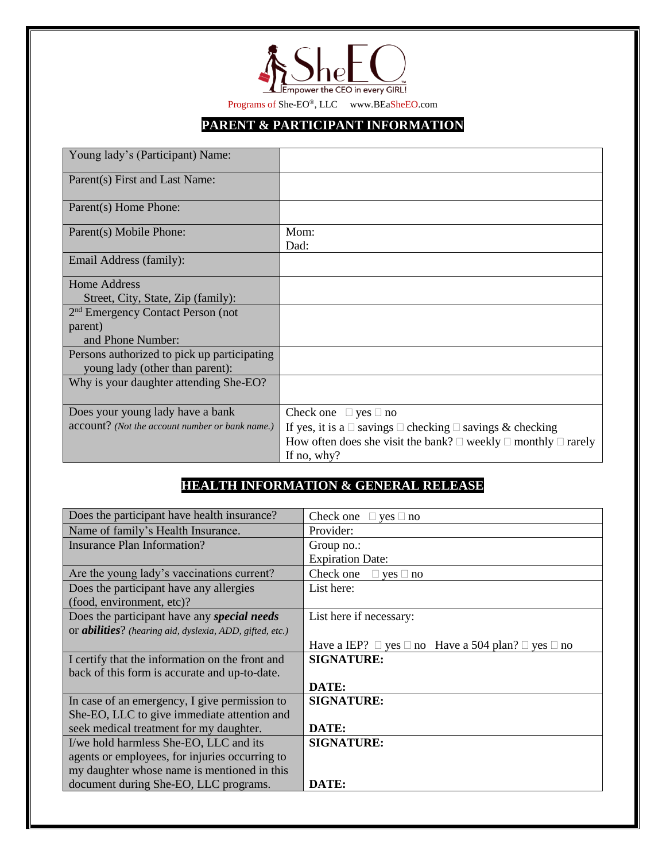

Programs of She-EO®, LLC www.BEaSheEO.com

## **PARENT & PARTICIPANT INFORMATION**

| Young lady's (Participant) Name:                |                                                                                        |
|-------------------------------------------------|----------------------------------------------------------------------------------------|
| Parent(s) First and Last Name:                  |                                                                                        |
| Parent(s) Home Phone:                           |                                                                                        |
| Parent(s) Mobile Phone:                         | Mom:<br>Dad:                                                                           |
| Email Address (family):                         |                                                                                        |
| Home Address                                    |                                                                                        |
| Street, City, State, Zip (family):              |                                                                                        |
| 2 <sup>nd</sup> Emergency Contact Person (not   |                                                                                        |
| parent)                                         |                                                                                        |
| and Phone Number:                               |                                                                                        |
| Persons authorized to pick up participating     |                                                                                        |
| young lady (other than parent):                 |                                                                                        |
| Why is your daughter attending She-EO?          |                                                                                        |
| Does your young lady have a bank                | Check one $\Box$ yes $\Box$ no                                                         |
| account? (Not the account number or bank name.) | If yes, it is a $\Box$ savings $\Box$ checking $\Box$ savings & checking               |
|                                                 | How often does she visit the bank? $\square$ weekly $\square$ monthly $\square$ rarely |
|                                                 | If no, why?                                                                            |

## **HEALTH INFORMATION & GENERAL RELEASE**

| Does the participant have health insurance?              | Check one $\Box$ yes $\Box$ no                                         |
|----------------------------------------------------------|------------------------------------------------------------------------|
| Name of family's Health Insurance.                       | Provider:                                                              |
| Insurance Plan Information?                              | Group no.:                                                             |
|                                                          | <b>Expiration Date:</b>                                                |
| Are the young lady's vaccinations current?               | Check one $\Box$ yes $\Box$ no                                         |
| Does the participant have any allergies                  | List here:                                                             |
| (food, environment, etc)?                                |                                                                        |
| Does the participant have any special needs              | List here if necessary:                                                |
| or abilities? (hearing aid, dyslexia, ADD, gifted, etc.) |                                                                        |
|                                                          | Have a IEP? $\Box$ yes $\Box$ no Have a 504 plan? $\Box$ yes $\Box$ no |
| I certify that the information on the front and          | <b>SIGNATURE:</b>                                                      |
| back of this form is accurate and up-to-date.            |                                                                        |
|                                                          | DATE:                                                                  |
| In case of an emergency, I give permission to            | <b>SIGNATURE:</b>                                                      |
| She-EO, LLC to give immediate attention and              |                                                                        |
| seek medical treatment for my daughter.                  | DATE:                                                                  |
| I/we hold harmless She-EO, LLC and its                   | <b>SIGNATURE:</b>                                                      |
| agents or employees, for injuries occurring to           |                                                                        |
| my daughter whose name is mentioned in this              |                                                                        |
| document during She-EO, LLC programs.                    | DATE:                                                                  |